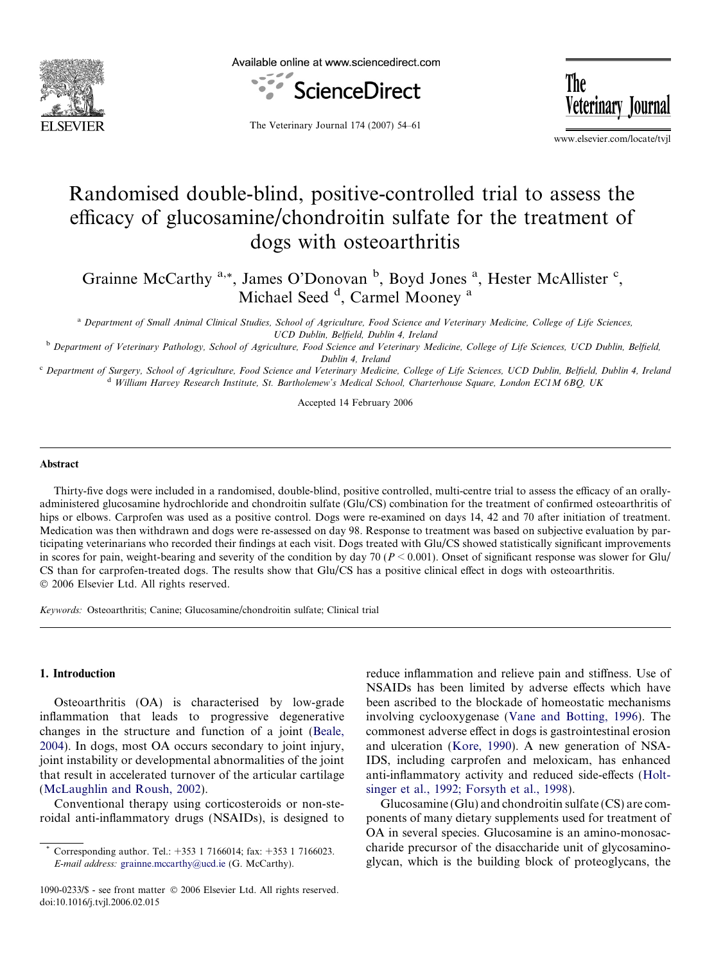

Available online at www.sciencedirect.com



The Veterinary Journal

The Veterinary Journal 174 (2007) 54–61

www.elsevier.com/locate/tvjl

# Randomised double-blind, positive-controlled trial to assess the efficacy of glucosamine/chondroitin sulfate for the treatment of dogs with osteoarthritis

Grainne McCarthy <sup>a,\*</sup>, James O'Donovan <sup>b</sup>, Boyd Jones <sup>a</sup>, Hester McAllister <sup>c</sup>, Michael Seed<sup>d</sup>, Carmel Mooney<sup>a</sup>

<sup>a</sup> Department of Small Animal Clinical Studies, School of Agriculture, Food Science and Veterinary Medicine, College of Life Sciences, UCD Dublin, Belfield, Dublin 4, Ireland

<sup>b</sup> Department of Veterinary Pathology, School of Agriculture, Food Science and Veterinary Medicine, College of Life Sciences, UCD Dublin, Belfield, Dublin 4, Ireland

<sup>c</sup> Department of Surgery, School of Agriculture, Food Science and Veterinary Medicine, College of Life Sciences, UCD Dublin, Belfield, Dublin 4, Ireland <sup>d</sup> William Harvey Research Institute, St. Bartholemew's Medical School, Charterhouse Square, London EC1M 6BQ, UK

Accepted 14 February 2006

#### Abstract

Thirty-five dogs were included in a randomised, double-blind, positive controlled, multi-centre trial to assess the efficacy of an orallyadministered glucosamine hydrochloride and chondroitin sulfate (Glu/CS) combination for the treatment of confirmed osteoarthritis of hips or elbows. Carprofen was used as a positive control. Dogs were re-examined on days 14, 42 and 70 after initiation of treatment. Medication was then withdrawn and dogs were re-assessed on day 98. Response to treatment was based on subjective evaluation by participating veterinarians who recorded their findings at each visit. Dogs treated with Glu/CS showed statistically significant improvements in scores for pain, weight-bearing and severity of the condition by day 70 ( $P \le 0.001$ ). Onset of significant response was slower for Glu/ CS than for carprofen-treated dogs. The results show that Glu/CS has a positive clinical effect in dogs with osteoarthritis.  $© 2006 Elsevier Ltd. All rights reserved.$ 

Keywords: Osteoarthritis; Canine; Glucosamine/chondroitin sulfate; Clinical trial

# 1. Introduction

Osteoarthritis (OA) is characterised by low-grade inflammation that leads to progressive degenerative changes in the structure and function of a joint ([Beale,](#page-6-0) [2004\)](#page-6-0). In dogs, most OA occurs secondary to joint injury, joint instability or developmental abnormalities of the joint that result in accelerated turnover of the articular cartilage [\(McLaughlin and Roush, 2002\)](#page-7-0).

Conventional therapy using corticosteroids or non-steroidal anti-inflammatory drugs (NSAIDs), is designed to reduce inflammation and relieve pain and stiffness. Use of NSAIDs has been limited by adverse effects which have been ascribed to the blockade of homeostatic mechanisms involving cyclooxygenase [\(Vane and Botting, 1996\)](#page-7-0). The commonest adverse effect in dogs is gastrointestinal erosion and ulceration ([Kore, 1990\)](#page-7-0). A new generation of NSA-IDS, including carprofen and meloxicam, has enhanced anti-inflammatory activity and reduced side-effects ([Holt](#page-7-0)[singer et al., 1992; Forsyth et al., 1998](#page-7-0)).

Glucosamine (Glu) and chondroitin sulfate (CS) are components of many dietary supplements used for treatment of OA in several species. Glucosamine is an amino-monosaccharide precursor of the disaccharide unit of glycosaminoglycan, which is the building block of proteoglycans, the

Corresponding author. Tel.:  $+353$  1 7166014; fax:  $+353$  1 7166023. E-mail address: [grainne.mccarthy@ucd.ie](mailto:grainne.mccarthy@ucd.ie) (G. McCarthy).

<sup>1090-0233/\$ -</sup> see front matter © 2006 Elsevier Ltd. All rights reserved. doi:10.1016/j.tvjl.2006.02.015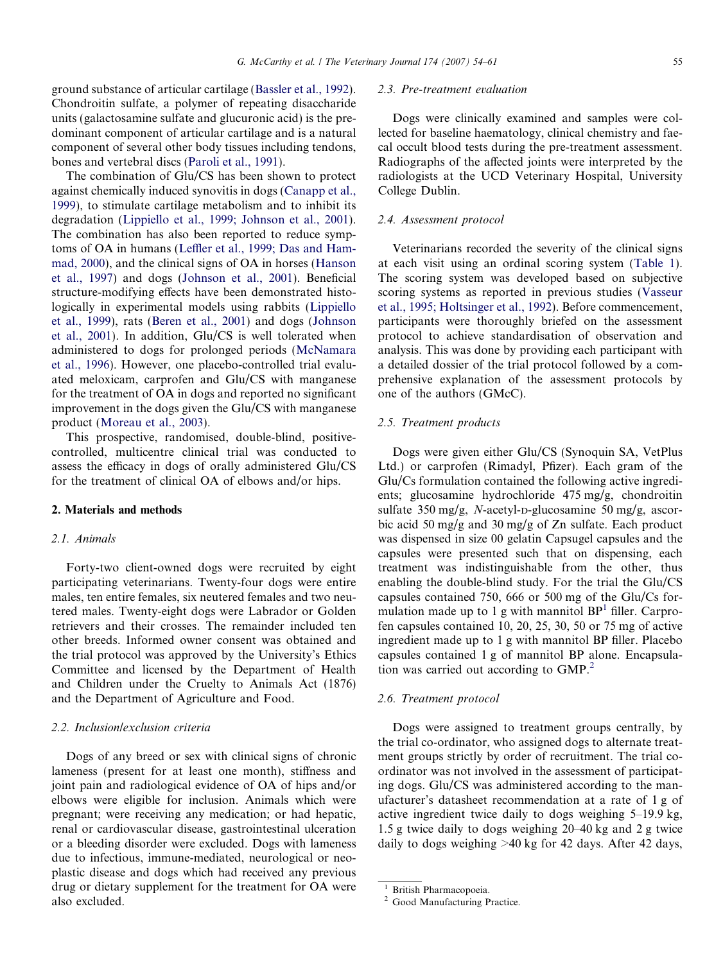ground substance of articular cartilage [\(Bassler et al., 1992\)](#page-6-0). Chondroitin sulfate, a polymer of repeating disaccharide units (galactosamine sulfate and glucuronic acid) is the predominant component of articular cartilage and is a natural component of several other body tissues including tendons, bones and vertebral discs [\(Paroli et al., 1991](#page-7-0)).

The combination of Glu/CS has been shown to protect against chemically induced synovitis in dogs [\(Canapp et al.,](#page-7-0) [1999](#page-7-0)), to stimulate cartilage metabolism and to inhibit its degradation [\(Lippiello et al., 1999; Johnson et al., 2001\)](#page-7-0). The combination has also been reported to reduce symptoms of OA in humans [\(Leffler et al., 1999; Das and Ham](#page-7-0)[mad, 2000\)](#page-7-0), and the clinical signs of OA in horses ([Hanson](#page-7-0) [et al., 1997](#page-7-0)) and dogs [\(Johnson et al., 2001](#page-7-0)). Beneficial structure-modifying effects have been demonstrated histologically in experimental models using rabbits [\(Lippiello](#page-7-0) [et al., 1999\)](#page-7-0), rats [\(Beren et al., 2001\)](#page-6-0) and dogs ([Johnson](#page-7-0) [et al., 2001](#page-7-0)). In addition, Glu/CS is well tolerated when administered to dogs for prolonged periods [\(McNamara](#page-7-0) [et al., 1996](#page-7-0)). However, one placebo-controlled trial evaluated meloxicam, carprofen and Glu/CS with manganese for the treatment of OA in dogs and reported no significant improvement in the dogs given the Glu/CS with manganese product ([Moreau et al., 2003\)](#page-7-0).

This prospective, randomised, double-blind, positivecontrolled, multicentre clinical trial was conducted to assess the efficacy in dogs of orally administered Glu/CS for the treatment of clinical OA of elbows and/or hips.

# 2. Materials and methods

# 2.1. Animals

Forty-two client-owned dogs were recruited by eight participating veterinarians. Twenty-four dogs were entire males, ten entire females, six neutered females and two neutered males. Twenty-eight dogs were Labrador or Golden retrievers and their crosses. The remainder included ten other breeds. Informed owner consent was obtained and the trial protocol was approved by the University's Ethics Committee and licensed by the Department of Health and Children under the Cruelty to Animals Act (1876) and the Department of Agriculture and Food.

#### 2.2. Inclusion/exclusion criteria

Dogs of any breed or sex with clinical signs of chronic lameness (present for at least one month), stiffness and joint pain and radiological evidence of OA of hips and/or elbows were eligible for inclusion. Animals which were pregnant; were receiving any medication; or had hepatic, renal or cardiovascular disease, gastrointestinal ulceration or a bleeding disorder were excluded. Dogs with lameness due to infectious, immune-mediated, neurological or neoplastic disease and dogs which had received any previous drug or dietary supplement for the treatment for OA were also excluded.

### 2.3. Pre-treatment evaluation

Dogs were clinically examined and samples were collected for baseline haematology, clinical chemistry and faecal occult blood tests during the pre-treatment assessment. Radiographs of the affected joints were interpreted by the radiologists at the UCD Veterinary Hospital, University College Dublin.

#### 2.4. Assessment protocol

Veterinarians recorded the severity of the clinical signs at each visit using an ordinal scoring system [\(Table 1\)](#page-2-0). The scoring system was developed based on subjective scoring systems as reported in previous studies ([Vasseur](#page-7-0) [et al., 1995; Holtsinger et al., 1992\)](#page-7-0). Before commencement, participants were thoroughly briefed on the assessment protocol to achieve standardisation of observation and analysis. This was done by providing each participant with a detailed dossier of the trial protocol followed by a comprehensive explanation of the assessment protocols by one of the authors (GMcC).

#### 2.5. Treatment products

Dogs were given either Glu/CS (Synoquin SA, VetPlus Ltd.) or carprofen (Rimadyl, Pfizer). Each gram of the Glu/Cs formulation contained the following active ingredients; glucosamine hydrochloride 475 mg/g, chondroitin sulfate 350 mg/g, N-acetyl-D-glucosamine 50 mg/g, ascorbic acid 50 mg/g and 30 mg/g of Zn sulfate. Each product was dispensed in size 00 gelatin Capsugel capsules and the capsules were presented such that on dispensing, each treatment was indistinguishable from the other, thus enabling the double-blind study. For the trial the Glu/CS capsules contained 750, 666 or 500 mg of the Glu/Cs formulation made up to 1 g with mannitol  $BP<sup>1</sup>$  filler. Carprofen capsules contained 10, 20, 25, 30, 50 or 75 mg of active ingredient made up to 1 g with mannitol BP filler. Placebo capsules contained 1 g of mannitol BP alone. Encapsulation was carried out according to GMP.<sup>2</sup>

#### 2.6. Treatment protocol

Dogs were assigned to treatment groups centrally, by the trial co-ordinator, who assigned dogs to alternate treatment groups strictly by order of recruitment. The trial coordinator was not involved in the assessment of participating dogs. Glu/CS was administered according to the manufacturer's datasheet recommendation at a rate of 1 g of active ingredient twice daily to dogs weighing 5–19.9 kg, 1.5 g twice daily to dogs weighing 20–40 kg and 2 g twice daily to dogs weighing >40 kg for 42 days. After 42 days,

 $\frac{1}{2}$  British Pharmacopoeia.<br> $\frac{2}{2}$  Good Manufacturing Practice.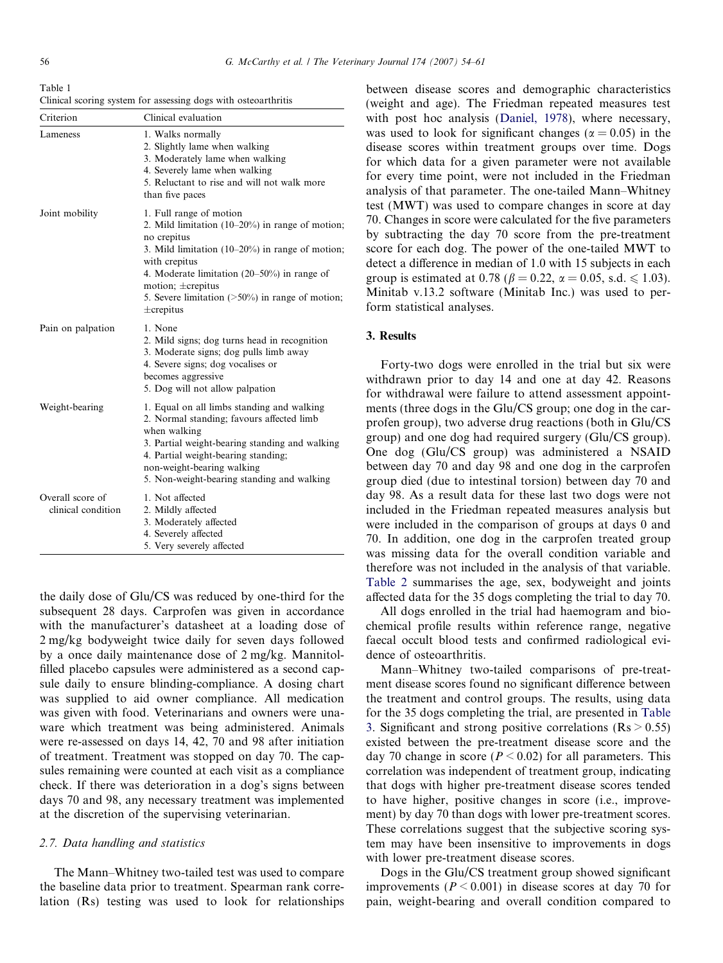<span id="page-2-0"></span>Table 1 Clinical scoring system for assessing dogs with osteoarthritis

| Criterion                              | Clinical evaluation                                                                                                                                                                                                                                                                                                  |
|----------------------------------------|----------------------------------------------------------------------------------------------------------------------------------------------------------------------------------------------------------------------------------------------------------------------------------------------------------------------|
| Lameness                               | 1. Walks normally<br>2. Slightly lame when walking<br>3. Moderately lame when walking<br>4. Severely lame when walking<br>5. Reluctant to rise and will not walk more<br>than five paces                                                                                                                             |
| Joint mobility                         | 1. Full range of motion<br>2. Mild limitation $(10-20\%)$ in range of motion;<br>no crepitus<br>3. Mild limitation (10-20%) in range of motion;<br>with crepitus<br>4. Moderate limitation $(20-50\%)$ in range of<br>motion; $\pm$ crepitus<br>5. Severe limitation $($ >50%) in range of motion;<br>$\pm$ crepitus |
| Pain on palpation                      | 1. None<br>2. Mild signs, dog turns head in recognition<br>3. Moderate signs; dog pulls limb away<br>4. Severe signs; dog vocalises or<br>becomes aggressive<br>5. Dog will not allow palpation                                                                                                                      |
| Weight-bearing                         | 1. Equal on all limbs standing and walking<br>2. Normal standing; favours affected limb<br>when walking<br>3. Partial weight-bearing standing and walking<br>4. Partial weight-bearing standing;<br>non-weight-bearing walking<br>5. Non-weight-bearing standing and walking                                         |
| Overall score of<br>clinical condition | 1. Not affected<br>2. Mildly affected<br>3. Moderately affected<br>4. Severely affected<br>5. Very severely affected                                                                                                                                                                                                 |

the daily dose of Glu/CS was reduced by one-third for the subsequent 28 days. Carprofen was given in accordance with the manufacturer's datasheet at a loading dose of 2 mg/kg bodyweight twice daily for seven days followed by a once daily maintenance dose of 2 mg/kg. Mannitolfilled placebo capsules were administered as a second capsule daily to ensure blinding-compliance. A dosing chart was supplied to aid owner compliance. All medication was given with food. Veterinarians and owners were unaware which treatment was being administered. Animals were re-assessed on days 14, 42, 70 and 98 after initiation of treatment. Treatment was stopped on day 70. The capsules remaining were counted at each visit as a compliance check. If there was deterioration in a dog's signs between days 70 and 98, any necessary treatment was implemented at the discretion of the supervising veterinarian.

#### 2.7. Data handling and statistics

The Mann–Whitney two-tailed test was used to compare the baseline data prior to treatment. Spearman rank correlation (Rs) testing was used to look for relationships between disease scores and demographic characteristics (weight and age). The Friedman repeated measures test with post hoc analysis ([Daniel, 1978](#page-7-0)), where necessary, was used to look for significant changes ( $\alpha = 0.05$ ) in the disease scores within treatment groups over time. Dogs for which data for a given parameter were not available for every time point, were not included in the Friedman analysis of that parameter. The one-tailed Mann–Whitney test (MWT) was used to compare changes in score at day 70. Changes in score were calculated for the five parameters by subtracting the day 70 score from the pre-treatment score for each dog. The power of the one-tailed MWT to detect a difference in median of 1.0 with 15 subjects in each group is estimated at 0.78 ( $\beta = 0.22$ ,  $\alpha = 0.05$ , s.d.  $\leq 1.03$ ). Minitab v.13.2 software (Minitab Inc.) was used to perform statistical analyses.

#### 3. Results

Forty-two dogs were enrolled in the trial but six were withdrawn prior to day 14 and one at day 42. Reasons for withdrawal were failure to attend assessment appointments (three dogs in the Glu/CS group; one dog in the carprofen group), two adverse drug reactions (both in Glu/CS group) and one dog had required surgery (Glu/CS group). One dog (Glu/CS group) was administered a NSAID between day 70 and day 98 and one dog in the carprofen group died (due to intestinal torsion) between day 70 and day 98. As a result data for these last two dogs were not included in the Friedman repeated measures analysis but were included in the comparison of groups at days 0 and 70. In addition, one dog in the carprofen treated group was missing data for the overall condition variable and therefore was not included in the analysis of that variable. [Table 2](#page-3-0) summarises the age, sex, bodyweight and joints affected data for the 35 dogs completing the trial to day 70.

All dogs enrolled in the trial had haemogram and biochemical profile results within reference range, negative faecal occult blood tests and confirmed radiological evidence of osteoarthritis.

Mann–Whitney two-tailed comparisons of pre-treatment disease scores found no significant difference between the treatment and control groups. The results, using data for the 35 dogs completing the trial, are presented in [Table](#page-3-0) [3.](#page-3-0) Significant and strong positive correlations ( $\text{Rs} > 0.55$ ) existed between the pre-treatment disease score and the day 70 change in score ( $P < 0.02$ ) for all parameters. This correlation was independent of treatment group, indicating that dogs with higher pre-treatment disease scores tended to have higher, positive changes in score (i.e., improvement) by day 70 than dogs with lower pre-treatment scores. These correlations suggest that the subjective scoring system may have been insensitive to improvements in dogs with lower pre-treatment disease scores.

Dogs in the Glu/CS treatment group showed significant improvements ( $P < 0.001$ ) in disease scores at day 70 for pain, weight-bearing and overall condition compared to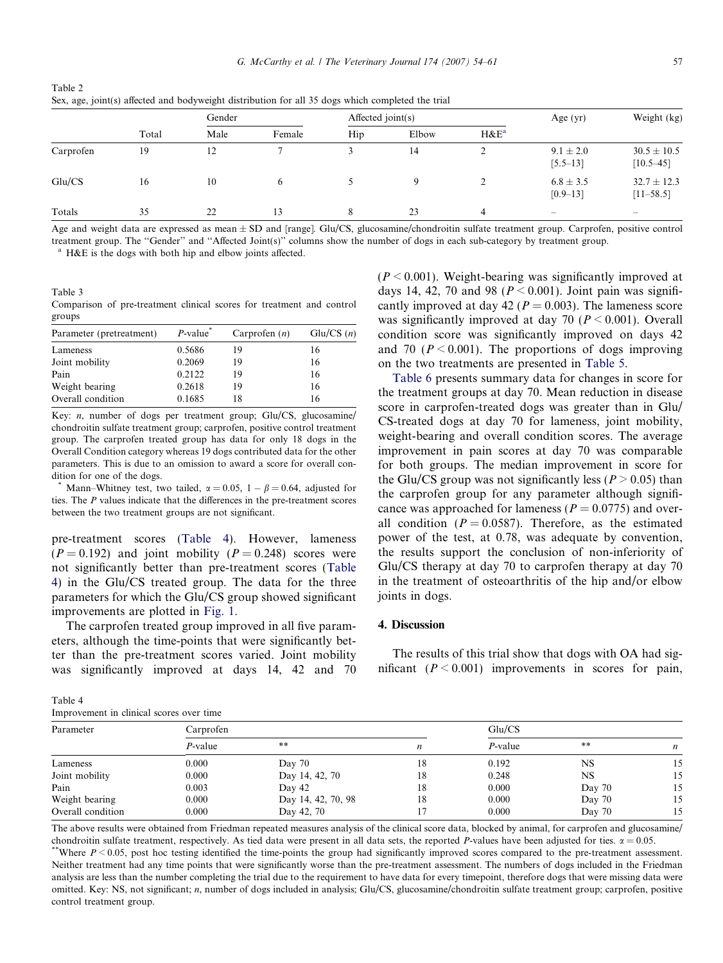<span id="page-3-0"></span>

| Table 2                                                                                           |  |
|---------------------------------------------------------------------------------------------------|--|
| Sex, age, joint(s) affected and bodyweight distribution for all 35 dogs which completed the trial |  |

|           |       | Gender |        | Affected $joint(s)$ |       |                | Age $(yr)$                    | Weight (kg)                      |
|-----------|-------|--------|--------|---------------------|-------|----------------|-------------------------------|----------------------------------|
|           | Total | Male   | Female | Hip                 | Elbow | $H\&E^a$       |                               |                                  |
| Carprofen | 19    | 12     |        |                     | 14    |                | $9.1 \pm 2.0$<br>$[5.5 - 13]$ | $30.5 \pm 10.5$<br>$[10.5 - 45]$ |
| Glu/CS    | 16    | 10     |        |                     | a     |                | $6.8 \pm 3.5$<br>$[0.9 - 13]$ | $32.7 \pm 12.3$<br>$[11 - 58.5]$ |
| Totals    | 35    | 22     | 13     | 8                   | 23    | $\overline{4}$ | $\sim$                        | $\hspace{0.1mm}-\hspace{0.1mm}$  |

Age and weight data are expressed as mean  $\pm$  SD and [range]. Glu/CS, glucosamine/chondroitin sulfate treatment group. Carprofen, positive control treatment group. The ''Gender'' and ''Affected Joint(s)'' columns show the number of dogs in each sub-category by treatment group.

<sup>a</sup> H&E is the dogs with both hip and elbow joints affected.

Table 3 Comparison of pre-treatment clinical scores for treatment and control groups

| Parameter (pretreatment) | $P$ -value <sup>*</sup> | Carprofen $(n)$ | Glu/CS $(n)$ |
|--------------------------|-------------------------|-----------------|--------------|
| Lameness                 | 0.5686                  | 19              | 16           |
| Joint mobility           | 0.2069                  | 19              | 16           |
| Pain                     | 0.2122                  | 19              | 16           |
| Weight bearing           | 0.2618                  | 19              | 16           |
| Overall condition        | 0.1685                  | 18              | 16           |

Key: *n*, number of dogs per treatment group; Glu/CS, glucosamine/ chondroitin sulfate treatment group; carprofen, positive control treatment group. The carprofen treated group has data for only 18 dogs in the Overall Condition category whereas 19 dogs contributed data for the other parameters. This is due to an omission to award a score for overall condition for one of the dogs.

\* Mann–Whitney test, two tailed,  $\alpha = 0.05$ ,  $1 - \beta = 0.64$ , adjusted for ties. The P values indicate that the differences in the pre-treatment scores between the two treatment groups are not significant.

pre-treatment scores (Table 4). However, lameness  $(P = 0.192)$  and joint mobility  $(P = 0.248)$  scores were not significantly better than pre-treatment scores (Table 4) in the Glu/CS treated group. The data for the three parameters for which the Glu/CS group showed significant improvements are plotted in [Fig. 1](#page-4-0).

The carprofen treated group improved in all five parameters, although the time-points that were significantly better than the pre-treatment scores varied. Joint mobility was significantly improved at days 14, 42 and 70

| Table 4                                  |  |  |  |
|------------------------------------------|--|--|--|
| Improvement in clinical scores over time |  |  |  |

 $(P < 0.001)$ . Weight-bearing was significantly improved at days 14, 42, 70 and 98 ( $P \le 0.001$ ). Joint pain was significantly improved at day 42 ( $P = 0.003$ ). The lameness score was significantly improved at day 70 ( $P \le 0.001$ ). Overall condition score was significantly improved on days 42 and 70 ( $P \le 0.001$ ). The proportions of dogs improving on the two treatments are presented in [Table 5.](#page-5-0)

[Table 6](#page-5-0) presents summary data for changes in score for the treatment groups at day 70. Mean reduction in disease score in carprofen-treated dogs was greater than in Glu/ CS-treated dogs at day 70 for lameness, joint mobility, weight-bearing and overall condition scores. The average improvement in pain scores at day 70 was comparable for both groups. The median improvement in score for the Glu/CS group was not significantly less ( $P > 0.05$ ) than the carprofen group for any parameter although significance was approached for lameness ( $P = 0.0775$ ) and overall condition ( $P = 0.0587$ ). Therefore, as the estimated power of the test, at 0.78, was adequate by convention, the results support the conclusion of non-inferiority of Glu/CS therapy at day 70 to carprofen therapy at day 70 in the treatment of osteoarthritis of the hip and/or elbow joints in dogs.

# 4. Discussion

The results of this trial show that dogs with OA had significant  $(P < 0.001)$  improvements in scores for pain,

| Improvement in clinical scores over time |            |                    |                  |            |           |                  |
|------------------------------------------|------------|--------------------|------------------|------------|-----------|------------------|
| Parameter                                | Carprofen  |                    |                  | Glu/CS     |           |                  |
|                                          | $P$ -value | $* *$              | $\boldsymbol{n}$ | $P$ -value | $* *$     | $\boldsymbol{n}$ |
| Lameness                                 | 0.000      | Day 70             | 18               | 0.192      | <b>NS</b> | 15               |
| Joint mobility                           | 0.000      | Day 14, 42, 70     | 18               | 0.248      | NS        | 15               |
| Pain                                     | 0.003      | Day 42             | 18               | 0.000      | Day 70    | 15               |
| Weight bearing                           | 0.000      | Day 14, 42, 70, 98 | 18               | 0.000      | Day 70    | 15               |
| Overall condition                        | 0.000      | Day 42, 70         |                  | 0.000      | Day 70    | 15               |

The above results were obtained from Friedman repeated measures analysis of the clinical score data, blocked by animal, for carprofen and glucosamine/ chondroitin sulfate treatment, respectively. As tied data were present in all data sets, the reported *P*-values have been adjusted for ties.  $\alpha = 0.05$ .<br>\*\*Where *P* < 0.05, post hoc testing identified the time-points the

Neither treatment had any time points that were significantly worse than the pre-treatment assessment. The numbers of dogs included in the Friedman analysis are less than the number completing the trial due to the requirement to have data for every timepoint, therefore dogs that were missing data were omitted. Key: NS, not significant; n, number of dogs included in analysis; Glu/CS, glucosamine/chondroitin sulfate treatment group; carprofen, positive control treatment group.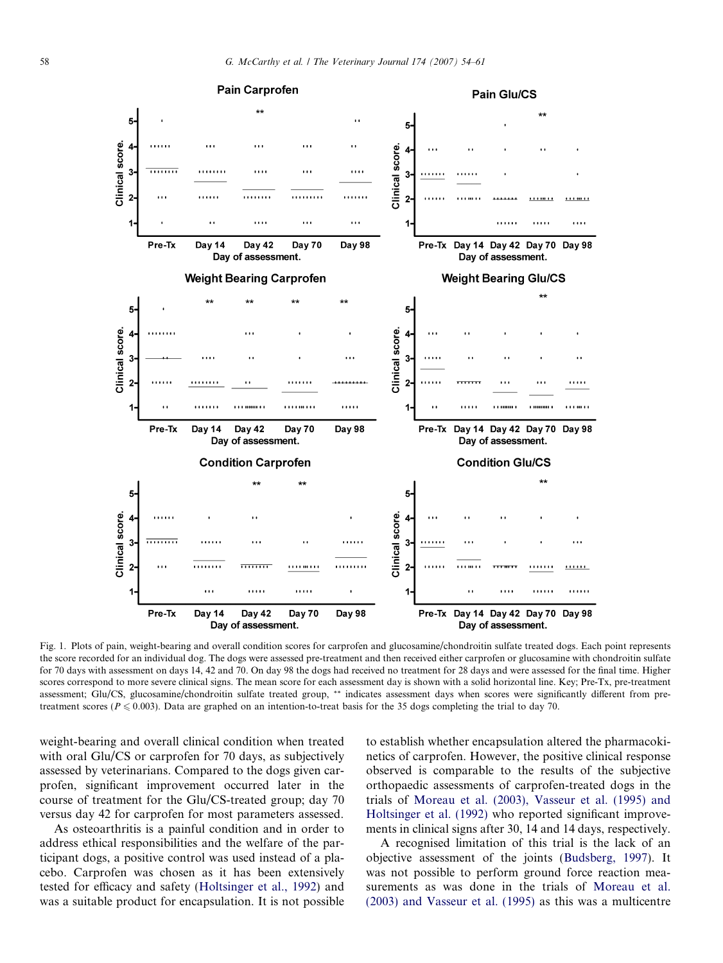<span id="page-4-0"></span>

Fig. 1. Plots of pain, weight-bearing and overall condition scores for carprofen and glucosamine/chondroitin sulfate treated dogs. Each point represents the score recorded for an individual dog. The dogs were assessed pre-treatment and then received either carprofen or glucosamine with chondroitin sulfate for 70 days with assessment on days 14, 42 and 70. On day 98 the dogs had received no treatment for 28 days and were assessed for the final time. Higher scores correspond to more severe clinical signs. The mean score for each assessment day is shown with a solid horizontal line. Key; Pre-Tx, pre-treatment assessment; Glu/CS, glucosamine/chondroitin sulfate treated group, \*\* indicates assessment days when scores were significantly different from pretreatment scores ( $P \le 0.003$ ). Data are graphed on an intention-to-treat basis for the 35 dogs completing the trial to day 70.

weight-bearing and overall clinical condition when treated with oral Glu/CS or carprofen for 70 days, as subjectively assessed by veterinarians. Compared to the dogs given carprofen, significant improvement occurred later in the course of treatment for the Glu/CS-treated group; day 70 versus day 42 for carprofen for most parameters assessed.

As osteoarthritis is a painful condition and in order to address ethical responsibilities and the welfare of the participant dogs, a positive control was used instead of a placebo. Carprofen was chosen as it has been extensively tested for efficacy and safety ([Holtsinger et al., 1992\)](#page-7-0) and was a suitable product for encapsulation. It is not possible to establish whether encapsulation altered the pharmacokinetics of carprofen. However, the positive clinical response observed is comparable to the results of the subjective orthopaedic assessments of carprofen-treated dogs in the trials of [Moreau et al. \(2003\), Vasseur et al. \(1995\) and](#page-7-0) [Holtsinger et al. \(1992\)](#page-7-0) who reported significant improvements in clinical signs after 30, 14 and 14 days, respectively.

A recognised limitation of this trial is the lack of an objective assessment of the joints ([Budsberg, 1997\)](#page-6-0). It was not possible to perform ground force reaction measurements as was done in the trials of [Moreau et al.](#page-7-0) [\(2003\) and Vasseur et al. \(1995\)](#page-7-0) as this was a multicentre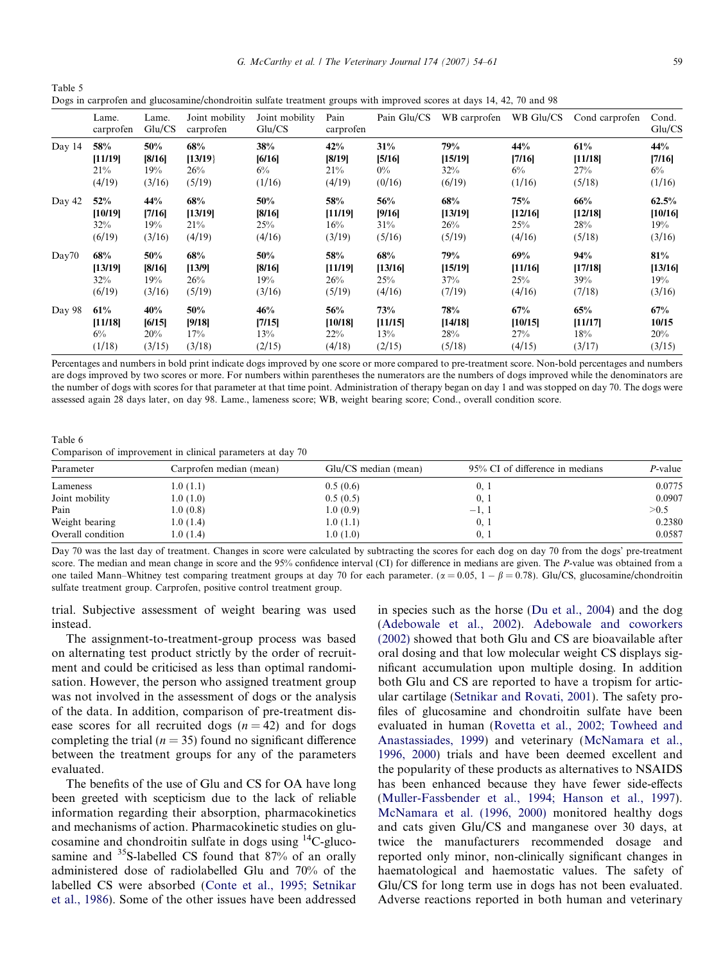G. McCarthy et al. / The Veterinary Journal 174 (2007) 54–61 59

<span id="page-5-0"></span>Table 5 Dogs in carprofen and glucosamine/chondroitin sulfate treatment groups with improved scores at days 14, 42, 70 and 98

|        | Lame.<br>carprofen | Lame.<br>Glu/CS | Joint mobility<br>carprofen | Joint mobility<br>Glu/CS | Pain<br>carprofen | Pain Glu/CS | WB carprofen | WB Glu/CS | Cond carprofen | Cond.<br>Glu/CS |
|--------|--------------------|-----------------|-----------------------------|--------------------------|-------------------|-------------|--------------|-----------|----------------|-----------------|
| Day 14 | 58%                | 50%             | 68%                         | 38%                      | 42%               | 31%         | 79%          | 44%       | 61%            | 44%             |
|        | [11/19]            | [8/16]          | [13/19]                     | [6/16]                   | [8/19]            | [5/16]      | [15/19]      | [7/16]    | [11/18]        | [7/16]          |
|        | 21%                | 19%             | 26%                         | $6\%$                    | 21%               | $0\%$       | $32\%$       | $6\%$     | 27%            | $6\%$           |
|        | (4/19)             | (3/16)          | (5/19)                      | (1/16)                   | (4/19)            | (0/16)      | (6/19)       | (1/16)    | (5/18)         | (1/16)          |
| Day 42 | 52%                | 44%             | 68%                         | 50%                      | 58%               | 56%         | 68%          | 75%       | 66%            | 62.5%           |
|        | [10/19]            | [7/16]          | [13/19]                     | [8/16]                   | [11/19]           | [9/16]      | [13/19]      | [12/16]   | [12/18]        | [10/16]         |
|        | 32%                | 19%             | 21%                         | 25%                      | 16%               | 31%         | $26\%$       | 25%       | 28%            | 19%             |
|        | (6/19)             | (3/16)          | (4/19)                      | (4/16)                   | (3/19)            | (5/16)      | (5/19)       | (4/16)    | (5/18)         | (3/16)          |
| Day70  | 68%                | 50%             | 68%                         | 50%                      | 58%               | 68%         | 79%          | 69%       | 94%            | 81%             |
|        | [13/19]            | [8/16]          | [13/9]                      | [8/16]                   | [11/19]           | [13/16]     | [15/19]      | [11/16]   | [17/18]        | [13/16]         |
|        | 32%                | 19%             | 26%                         | 19%                      | 26%               | 25%         | 37%          | 25%       | 39%            | 19%             |
|        | (6/19)             | (3/16)          | (5/19)                      | (3/16)                   | (5/19)            | (4/16)      | (7/19)       | (4/16)    | (7/18)         | (3/16)          |
| Day 98 | 61%                | 40%             | 50%                         | 46%                      | 56%               | 73%         | 78%          | 67%       | 65%            | 67%             |
|        | [11/18]            | [6/15]          | [9/18]                      | [7/15]                   | [10/18]           | [11/15]     | [14/18]      | [10/15]   | [11/17]        | 10/15           |
|        | $6\%$              | 20%             | 17%                         | 13%                      | 22%               | 13%         | 28%          | 27%       | $18\%$         | 20%             |
|        | (1/18)             | (3/15)          | (3/18)                      | (2/15)                   | (4/18)            | (2/15)      | (5/18)       | (4/15)    | (3/17)         | (3/15)          |

Percentages and numbers in bold print indicate dogs improved by one score or more compared to pre-treatment score. Non-bold percentages and numbers are dogs improved by two scores or more. For numbers within parentheses the numerators are the numbers of dogs improved while the denominators are the number of dogs with scores for that parameter at that time point. Administration of therapy began on day 1 and was stopped on day 70. The dogs were assessed again 28 days later, on day 98. Lame., lameness score; WB, weight bearing score; Cond., overall condition score.

Table 6 Comparison of improvement in clinical parameters at day 70

| Parameter         | Carprofen median (mean) | Glu/CS median (mean) | 95% CI of difference in medians | P-value |
|-------------------|-------------------------|----------------------|---------------------------------|---------|
| Lameness          | 1.0(1.1)                | 0.5(0.6)             | 0,1                             | 0.0775  |
| Joint mobility    | 1.0(1.0)                | 0.5(0.5)             | 0, 1                            | 0.0907  |
| Pain              | 1.0(0.8)                | 1.0(0.9)             | $-1.1$                          | >0.5    |
| Weight bearing    | 1.0(1.4)                | 1.0(1.1)             | 0, 1                            | 0.2380  |
| Overall condition | 1.0(1.4)                | 1.0(1.0)             | 0. I                            | 0.0587  |

Day 70 was the last day of treatment. Changes in score were calculated by subtracting the scores for each dog on day 70 from the dogs' pre-treatment score. The median and mean change in score and the 95% confidence interval (CI) for difference in medians are given. The P-value was obtained from a one tailed Mann–Whitney test comparing treatment groups at day 70 for each parameter.  $(\alpha = 0.05, 1 - \beta = 0.78)$ . Glu/CS, glucosamine/chondroitin sulfate treatment group. Carprofen, positive control treatment group.

trial. Subjective assessment of weight bearing was used instead.

The assignment-to-treatment-group process was based on alternating test product strictly by the order of recruitment and could be criticised as less than optimal randomisation. However, the person who assigned treatment group was not involved in the assessment of dogs or the analysis of the data. In addition, comparison of pre-treatment disease scores for all recruited dogs  $(n = 42)$  and for dogs completing the trial ( $n = 35$ ) found no significant difference between the treatment groups for any of the parameters evaluated.

The benefits of the use of Glu and CS for OA have long been greeted with scepticism due to the lack of reliable information regarding their absorption, pharmacokinetics and mechanisms of action. Pharmacokinetic studies on glucosamine and chondroitin sulfate in dogs using 14C-glucosamine and <sup>35</sup>S-labelled CS found that 87% of an orally administered dose of radiolabelled Glu and 70% of the labelled CS were absorbed [\(Conte et al., 1995; Setnikar](#page-7-0) [et al., 1986](#page-7-0)). Some of the other issues have been addressed in species such as the horse ([Du et al., 2004](#page-7-0)) and the dog ([Adebowale et al., 2002](#page-6-0)). [Adebowale and coworkers](#page-6-0) [\(2002\)](#page-6-0) showed that both Glu and CS are bioavailable after oral dosing and that low molecular weight CS displays significant accumulation upon multiple dosing. In addition both Glu and CS are reported to have a tropism for articular cartilage [\(Setnikar and Rovati, 2001\)](#page-7-0). The safety profiles of glucosamine and chondroitin sulfate have been evaluated in human [\(Rovetta et al., 2002; Towheed and](#page-7-0) [Anastassiades, 1999](#page-7-0)) and veterinary [\(McNamara et al.,](#page-7-0) [1996, 2000](#page-7-0)) trials and have been deemed excellent and the popularity of these products as alternatives to NSAIDS has been enhanced because they have fewer side-effects ([Muller-Fassbender et al., 1994; Hanson et al., 1997](#page-7-0)). [McNamara et al. \(1996, 2000\)](#page-7-0) monitored healthy dogs and cats given Glu/CS and manganese over 30 days, at twice the manufacturers recommended dosage and reported only minor, non-clinically significant changes in haematological and haemostatic values. The safety of Glu/CS for long term use in dogs has not been evaluated. Adverse reactions reported in both human and veterinary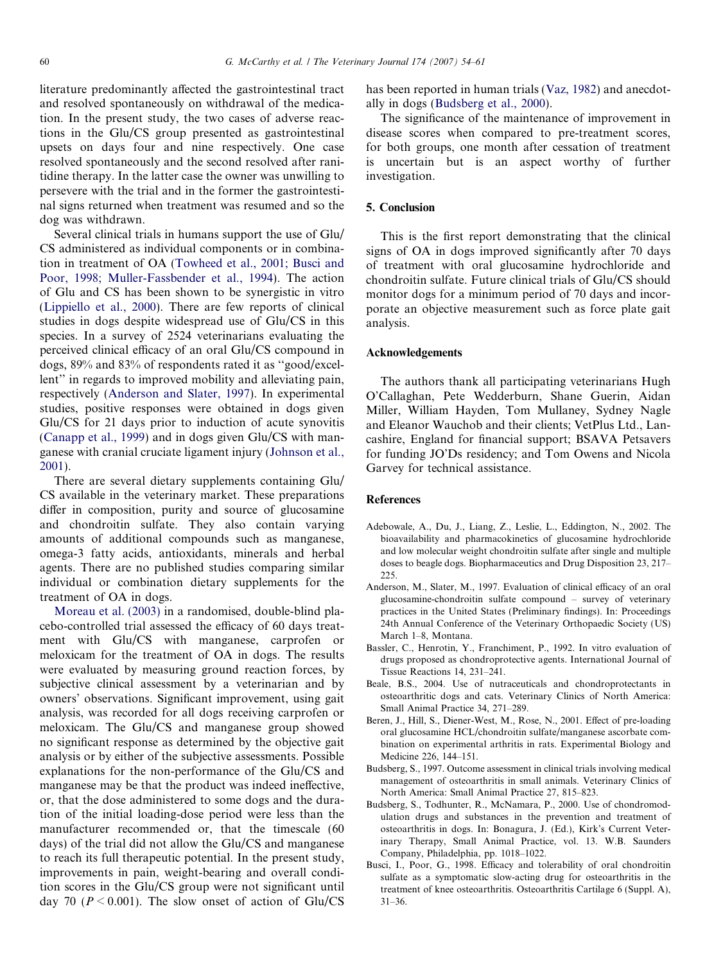<span id="page-6-0"></span>literature predominantly affected the gastrointestinal tract and resolved spontaneously on withdrawal of the medication. In the present study, the two cases of adverse reactions in the Glu/CS group presented as gastrointestinal upsets on days four and nine respectively. One case resolved spontaneously and the second resolved after ranitidine therapy. In the latter case the owner was unwilling to persevere with the trial and in the former the gastrointestinal signs returned when treatment was resumed and so the dog was withdrawn.

Several clinical trials in humans support the use of Glu/ CS administered as individual components or in combination in treatment of OA [\(Towheed et al., 2001; Busci and](#page-7-0) [Poor, 1998; Muller-Fassbender et al., 1994](#page-7-0)). The action of Glu and CS has been shown to be synergistic in vitro [\(Lippiello et al., 2000\)](#page-7-0). There are few reports of clinical studies in dogs despite widespread use of Glu/CS in this species. In a survey of 2524 veterinarians evaluating the perceived clinical efficacy of an oral Glu/CS compound in dogs, 89% and 83% of respondents rated it as ''good/excellent'' in regards to improved mobility and alleviating pain, respectively (Anderson and Slater, 1997). In experimental studies, positive responses were obtained in dogs given Glu/CS for 21 days prior to induction of acute synovitis [\(Canapp et al., 1999](#page-7-0)) and in dogs given Glu/CS with manganese with cranial cruciate ligament injury [\(Johnson et al.,](#page-7-0) [2001\)](#page-7-0).

There are several dietary supplements containing Glu/ CS available in the veterinary market. These preparations differ in composition, purity and source of glucosamine and chondroitin sulfate. They also contain varying amounts of additional compounds such as manganese, omega-3 fatty acids, antioxidants, minerals and herbal agents. There are no published studies comparing similar individual or combination dietary supplements for the treatment of OA in dogs.

[Moreau et al. \(2003\)](#page-7-0) in a randomised, double-blind placebo-controlled trial assessed the efficacy of 60 days treatment with Glu/CS with manganese, carprofen or meloxicam for the treatment of OA in dogs. The results were evaluated by measuring ground reaction forces, by subjective clinical assessment by a veterinarian and by owners' observations. Significant improvement, using gait analysis, was recorded for all dogs receiving carprofen or meloxicam. The Glu/CS and manganese group showed no significant response as determined by the objective gait analysis or by either of the subjective assessments. Possible explanations for the non-performance of the Glu/CS and manganese may be that the product was indeed ineffective, or, that the dose administered to some dogs and the duration of the initial loading-dose period were less than the manufacturer recommended or, that the timescale (60 days) of the trial did not allow the Glu/CS and manganese to reach its full therapeutic potential. In the present study, improvements in pain, weight-bearing and overall condition scores in the Glu/CS group were not significant until day 70 ( $P \le 0.001$ ). The slow onset of action of Glu/CS has been reported in human trials ([Vaz, 1982\)](#page-7-0) and anecdotally in dogs (Budsberg et al., 2000).

The significance of the maintenance of improvement in disease scores when compared to pre-treatment scores, for both groups, one month after cessation of treatment is uncertain but is an aspect worthy of further investigation.

# 5. Conclusion

This is the first report demonstrating that the clinical signs of OA in dogs improved significantly after 70 days of treatment with oral glucosamine hydrochloride and chondroitin sulfate. Future clinical trials of Glu/CS should monitor dogs for a minimum period of 70 days and incorporate an objective measurement such as force plate gait analysis.

#### Acknowledgements

The authors thank all participating veterinarians Hugh O'Callaghan, Pete Wedderburn, Shane Guerin, Aidan Miller, William Hayden, Tom Mullaney, Sydney Nagle and Eleanor Wauchob and their clients; VetPlus Ltd., Lancashire, England for financial support; BSAVA Petsavers for funding JO'Ds residency; and Tom Owens and Nicola Garvey for technical assistance.

#### References

- Adebowale, A., Du, J., Liang, Z., Leslie, L., Eddington, N., 2002. The bioavailability and pharmacokinetics of glucosamine hydrochloride and low molecular weight chondroitin sulfate after single and multiple doses to beagle dogs. Biopharmaceutics and Drug Disposition 23, 217– 225.
- Anderson, M., Slater, M., 1997. Evaluation of clinical efficacy of an oral glucosamine-chondroitin sulfate compound – survey of veterinary practices in the United States (Preliminary findings). In: Proceedings 24th Annual Conference of the Veterinary Orthopaedic Society (US) March 1–8, Montana.
- Bassler, C., Henrotin, Y., Franchiment, P., 1992. In vitro evaluation of drugs proposed as chondroprotective agents. International Journal of Tissue Reactions 14, 231–241.
- Beale, B.S., 2004. Use of nutraceuticals and chondroprotectants in osteoarthritic dogs and cats. Veterinary Clinics of North America: Small Animal Practice 34, 271–289.
- Beren, J., Hill, S., Diener-West, M., Rose, N., 2001. Effect of pre-loading oral glucosamine HCL/chondroitin sulfate/manganese ascorbate combination on experimental arthritis in rats. Experimental Biology and Medicine 226, 144–151.
- Budsberg, S., 1997. Outcome assessment in clinical trials involving medical management of osteoarthritis in small animals. Veterinary Clinics of North America: Small Animal Practice 27, 815–823.
- Budsberg, S., Todhunter, R., McNamara, P., 2000. Use of chondromodulation drugs and substances in the prevention and treatment of osteoarthritis in dogs. In: Bonagura, J. (Ed.), Kirk's Current Veterinary Therapy, Small Animal Practice, vol. 13. W.B. Saunders Company, Philadelphia, pp. 1018–1022.
- Busci, I., Poor, G., 1998. Efficacy and tolerability of oral chondroitin sulfate as a symptomatic slow-acting drug for osteoarthritis in the treatment of knee osteoarthritis. Osteoarthritis Cartilage 6 (Suppl. A), 31–36.